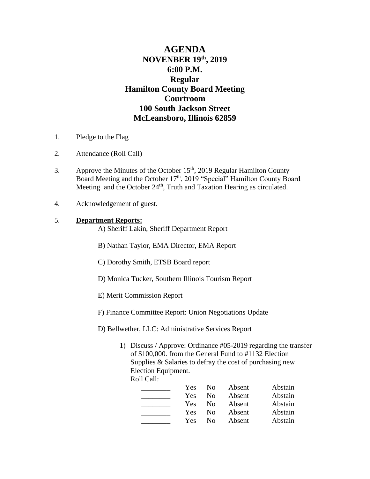# **AGENDA NOVENBER 19 th, 2019 6:00 P.M. Regular Hamilton County Board Meeting Courtroom 100 South Jackson Street McLeansboro, Illinois 62859**

- 1. Pledge to the Flag
- 2. Attendance (Roll Call)
- 3. Approve the Minutes of the October  $15<sup>th</sup>$ , 2019 Regular Hamilton County Board Meeting and the October 17<sup>th</sup>, 2019 "Special" Hamilton County Board Meeting and the October 24<sup>th</sup>, Truth and Taxation Hearing as circulated.
- 4. Acknowledgement of guest.

### 5. **Department Reports:**

- A) Sheriff Lakin, Sheriff Department Report
- B) Nathan Taylor, EMA Director, EMA Report
- C) Dorothy Smith, ETSB Board report
- D) Monica Tucker, Southern Illinois Tourism Report
- E) Merit Commission Report
- F) Finance Committee Report: Union Negotiations Update
- D) Bellwether, LLC: Administrative Services Report
	- 1) Discuss / Approve: Ordinance #05-2019 regarding the transfer of \$100,000. from the General Fund to #1132 Election Supplies & Salaries to defray the cost of purchasing new Election Equipment. Roll Call:

Yes No Absent Abstain Yes No Absent Abstain **Example 31 Yes No Absent** Abstain Yes No Absent Abstain Yes No Absent Abstain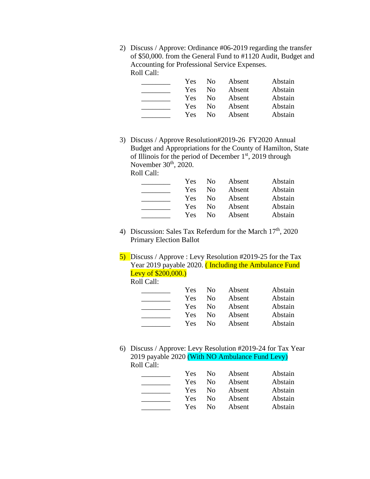2) Discuss / Approve: Ordinance #06-2019 regarding the transfer of \$50,000. from the General Fund to #1120 Audit, Budget and Accounting for Professional Service Expenses. Roll Call:

| Yes | $\rm No$ | Absent | Abstain |
|-----|----------|--------|---------|
| Yes | Nο       | Absent | Abstain |
| Yes | $\rm No$ | Absent | Abstain |
| Yes | Nο       | Absent | Abstain |
| Yes | Nο       | Absent | Abstain |

3) Discuss / Approve Resolution#2019-26 FY2020 Annual Budget and Appropriations for the County of Hamilton, State of Illinois for the period of December  $1<sup>st</sup>$ , 2019 through November  $30<sup>th</sup>$ ,  $2020$ . Roll Call:

| <b>Yes</b> | N <sub>0</sub> | Absent | Abstain |
|------------|----------------|--------|---------|
| Yes        | $\rm No$       | Absent | Abstain |
| <b>Yes</b> | $\rm No$       | Absent | Abstain |
| <b>Yes</b> | No.            | Absent | Abstain |
| <b>Yes</b> | No.            | Absent | Abstain |

- 4) Discussion: Sales Tax Referdum for the March 17<sup>th</sup>, 2020 Primary Election Ballot
- 5) Discuss / Approve : Levy Resolution #2019-25 for the Tax Year 2019 payable 2020. (Including the Ambulance Fund Levy of \$200,000.)

Roll Call:

| Yes | N <sub>0</sub> | Absent | Abstain |
|-----|----------------|--------|---------|
| Yes | $\rm No$       | Absent | Abstain |
| Yes | $\rm No$       | Absent | Abstain |
| Yes | No.            | Absent | Abstain |
| Yes | $\rm No$       | Absent | Abstain |

6) Discuss / Approve: Levy Resolution #2019-24 for Tax Year 2019 payable 2020 (With NO Ambulance Fund Levy) Roll Call:

| <b>Yes</b> | No.                | Absent | Abstain |
|------------|--------------------|--------|---------|
| Yes.       | $\overline{N}_{0}$ | Absent | Abstain |
| Yes.       | N <sub>0</sub>     | Absent | Abstain |
| Yes        | N <sub>0</sub>     | Absent | Abstain |
| Yes        | $N_{\Omega}$       | Absent | Abstain |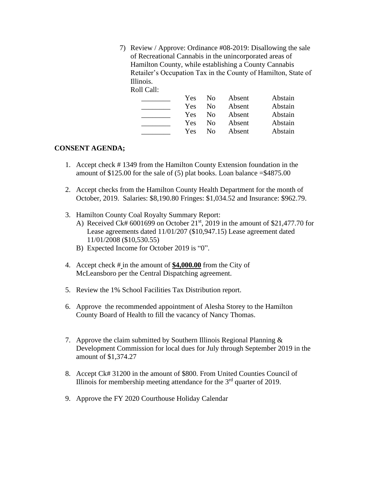7) Review / Approve: Ordinance #08-2019: Disallowing the sale of Recreational Cannabis in the unincorporated areas of Hamilton County, while establishing a County Cannabis Retailer's Occupation Tax in the County of Hamilton, State of Illinois.

Roll Call:

| Yes.       | N <sub>0</sub> | Absent | Abstain |
|------------|----------------|--------|---------|
| Yes.       | N <sub>0</sub> | Absent | Abstain |
| <b>Yes</b> | N <sub>0</sub> | Absent | Abstain |
| Yes        | N <sub>0</sub> | Absent | Abstain |
| Yes.       | $\rm No$       | Absent | Abstain |

### **CONSENT AGENDA;**

- 1. Accept check # 1349 from the Hamilton County Extension foundation in the amount of  $$125.00$  for the sale of (5) plat books. Loan balance  $= $4875.00$
- 2. Accept checks from the Hamilton County Health Department for the month of October, 2019. Salaries: \$8,190.80 Fringes: \$1,034.52 and Insurance: \$962.79.
- 3. Hamilton County Coal Royalty Summary Report:
	- A) Received Ck#  $6001699$  on October  $21<sup>st</sup>$ , 2019 in the amount of \$21,477.70 for Lease agreements dated 11/01/207 (\$10,947.15) Lease agreement dated 11/01/2008 (\$10,530.55)
	- B) Expected Income for October 2019 is "0".
- 4. Accept check # in the amount of **\$4,000.00** from the City of McLeansboro per the Central Dispatching agreement.
- 5. Review the 1% School Facilities Tax Distribution report.
- 6. Approve the recommended appointment of Alesha Storey to the Hamilton County Board of Health to fill the vacancy of Nancy Thomas.
- 7. Approve the claim submitted by Southern Illinois Regional Planning  $\&$ Development Commission for local dues for July through September 2019 in the amount of \$1,374.27
- 8. Accept Ck# 31200 in the amount of \$800. From United Counties Council of Illinois for membership meeting attendance for the  $3<sup>rd</sup>$  quarter of 2019.
- 9. Approve the FY 2020 Courthouse Holiday Calendar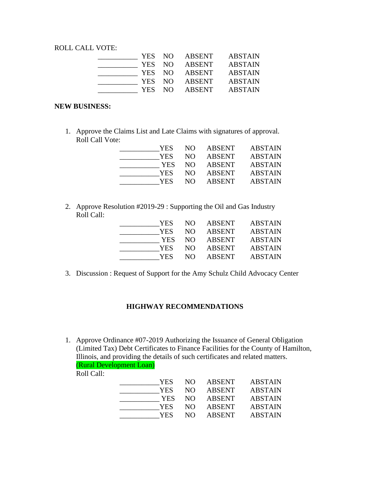ROLL CALL VOTE:

| YES NO     |      | ABSENT        | <b>ABSTAIN</b> |
|------------|------|---------------|----------------|
| <b>YES</b> | - NO | ABSENT        | <b>ABSTAIN</b> |
| YES NO     |      | ABSENT        | <b>ABSTAIN</b> |
| YES NO     |      | ABSENT        | <b>ABSTAIN</b> |
| YES –      | NO.  | <b>ABSENT</b> | <b>ABSTAIN</b> |

#### **NEW BUSINESS:**

1. Approve the Claims List and Late Claims with signatures of approval. Roll Call Vote:

| YES  | NO. | ABSENT        | <b>ABSTAIN</b> |
|------|-----|---------------|----------------|
| YES  | NO. | <b>ABSENT</b> | <b>ABSTAIN</b> |
| YES. | NO. | <b>ABSENT</b> | <b>ABSTAIN</b> |
| YES. | NO. | <b>ABSENT</b> | <b>ABSTAIN</b> |
| YES. | NO. | <b>ABSENT</b> | <b>ABSTAIN</b> |

2. Approve Resolution #2019-29 : Supporting the Oil and Gas Industry Roll Call:

| YES  | NO. | ABSENT        | <b>ABSTAIN</b> |
|------|-----|---------------|----------------|
| YES  | NO. | <b>ABSENT</b> | <b>ABSTAIN</b> |
| YES  | NO. | <b>ABSENT</b> | <b>ABSTAIN</b> |
| YES. | NO. | <b>ABSENT</b> | <b>ABSTAIN</b> |
| YES. | NO. | <b>ABSENT</b> | <b>ABSTAIN</b> |

3. Discussion : Request of Support for the Amy Schulz Child Advocacy Center

## **HIGHWAY RECOMMENDATIONS**

1. Approve Ordinance #07-2019 Authorizing the Issuance of General Obligation (Limited Tax) Debt Certificates to Finance Facilities for the County of Hamilton, Illinois, and providing the details of such certificates and related matters. (Rural Development Loan)

Roll Call:

| NO. | ABSENT        | <b>ABSTAIN</b> |
|-----|---------------|----------------|
| NO. | <b>ABSENT</b> | <b>ABSTAIN</b> |
| NO. | ABSENT        | <b>ABSTAIN</b> |
| NO. | ABSENT        | <b>ABSTAIN</b> |
| NO. | <b>ABSENT</b> | <b>ABSTAIN</b> |
|     |               |                |